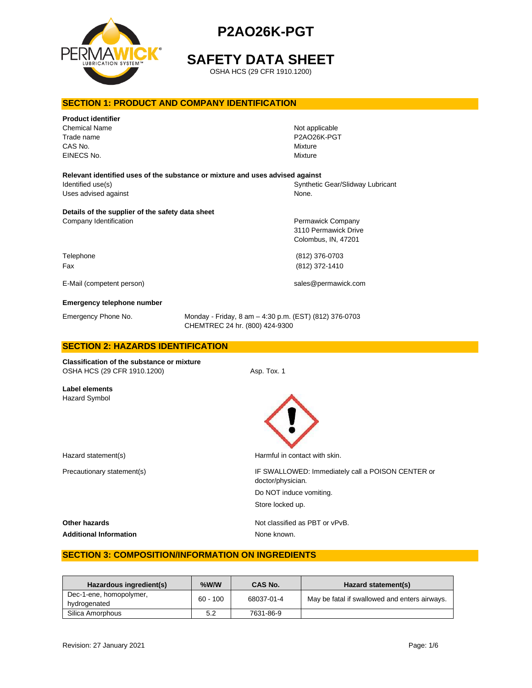

# **SAFETY DATA SHEET**

OSHA HCS (29 CFR 1910.1200)

# **SECTION 1: PRODUCT AND COMPANY IDENTIFICATION**

| <b>Product identifier</b><br><b>Chemical Name</b><br>Trade name<br>CAS No.<br>EINECS No. |                                                                                          | Not applicable<br>P2AO26K-PGT<br>Mixture<br>Mixture              |  |
|------------------------------------------------------------------------------------------|------------------------------------------------------------------------------------------|------------------------------------------------------------------|--|
| Relevant identified uses of the substance or mixture and uses advised against            |                                                                                          |                                                                  |  |
| Identified use(s)<br>Uses advised against                                                |                                                                                          | Synthetic Gear/Slidway Lubricant<br>None.                        |  |
| Details of the supplier of the safety data sheet                                         |                                                                                          |                                                                  |  |
| Company Identification                                                                   |                                                                                          | Permawick Company<br>3110 Permawick Drive<br>Colombus, IN, 47201 |  |
| Telephone<br>Fax                                                                         |                                                                                          | (812) 376-0703<br>(812) 372-1410                                 |  |
| E-Mail (competent person)                                                                |                                                                                          | sales@permawick.com                                              |  |
| Emergency telephone number                                                               |                                                                                          |                                                                  |  |
| Emergency Phone No.                                                                      | Monday - Friday, 8 am - 4:30 p.m. (EST) (812) 376-0703<br>CHEMTREC 24 hr. (800) 424-9300 |                                                                  |  |
| <b>SECTION 2: HAZARDS IDENTIFICATION</b>                                                 |                                                                                          |                                                                  |  |
| <b>Classification of the substance or mixture</b><br>OSHA HCS (29 CFR 1910.1200)         | Asp. Tox. 1                                                                              |                                                                  |  |
| Label elements<br>Hazard Symbol                                                          |                                                                                          |                                                                  |  |

Hazard statement(s) example a method of the Harmful in contact with skin.

Precautionary statement(s)  $\qquad \qquad$  IF SWALLOWED: Immediately call a POISON CENTER or doctor/physician. Do NOT induce vomiting. Store locked up.

**Other hazards Other hazards Not classified as PBT or vPvB.** 

Additional Information **None known**.

# **SECTION 3: COMPOSITION/INFORMATION ON INGREDIENTS**

| Hazardous ingredient(s)                 | %W/W       | CAS No.    | Hazard statement(s)                           |
|-----------------------------------------|------------|------------|-----------------------------------------------|
| Dec-1-ene, homopolymer,<br>hydrogenated | $60 - 100$ | 68037-01-4 | May be fatal if swallowed and enters airways. |
| Silica Amorphous                        | 5.2        | 7631-86-9  |                                               |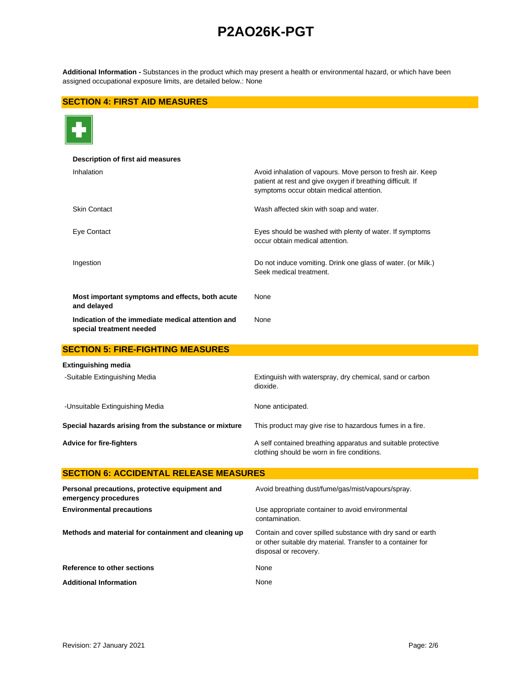**Additional Information -** Substances in the product which may present a health or environmental hazard, or which have been assigned occupational exposure limits, are detailed below.: None

# **SECTION 4: FIRST AID MEASURES**



| Description of first aid measures                                             |                                                                                                                                                                       |
|-------------------------------------------------------------------------------|-----------------------------------------------------------------------------------------------------------------------------------------------------------------------|
| Inhalation                                                                    | Avoid inhalation of vapours. Move person to fresh air. Keep<br>patient at rest and give oxygen if breathing difficult. If<br>symptoms occur obtain medical attention. |
| <b>Skin Contact</b>                                                           | Wash affected skin with soap and water.                                                                                                                               |
| Eye Contact                                                                   | Eyes should be washed with plenty of water. If symptoms<br>occur obtain medical attention.                                                                            |
| Ingestion                                                                     | Do not induce vomiting. Drink one glass of water. (or Milk.)<br>Seek medical treatment.                                                                               |
| Most important symptoms and effects, both acute<br>and delayed                | None                                                                                                                                                                  |
| Indication of the immediate medical attention and<br>special treatment needed | None                                                                                                                                                                  |
| <b>SECTION 5: FIRE-FIGHTING MEASURES</b>                                      |                                                                                                                                                                       |
| Extinguishing media                                                           |                                                                                                                                                                       |
| -Suitable Extinguishing Media                                                 | Extinguish with waterspray, dry chemical, sand or carbon<br>dioxide.                                                                                                  |
| -Unsuitable Extinguishing Media                                               | None anticipated.                                                                                                                                                     |
| Special hazards arising from the substance or mixture                         | This product may give rise to hazardous fumes in a fire.                                                                                                              |
| <b>Advice for fire-fighters</b>                                               | A self contained breathing apparatus and suitable protective<br>clothing should be worn in fire conditions.                                                           |
| <b>SECTION 6: ACCIDENTAL RELEASE MEASURES</b>                                 |                                                                                                                                                                       |
| Personal precautions, protective equipment and<br>emergency procedures        | Avoid breathing dust/fume/gas/mist/vapours/spray.                                                                                                                     |
| <b>Environmental precautions</b>                                              | Use appropriate container to avoid environmental<br>contamination.                                                                                                    |
| Methods and material for containment and cleaning up                          | Contain and cover spilled substance with dry sand or earth<br>or other suitable dry material. Transfer to a container for<br>disposal or recovery.                    |
| Reference to other sections                                                   | None                                                                                                                                                                  |

Additional Information **None** None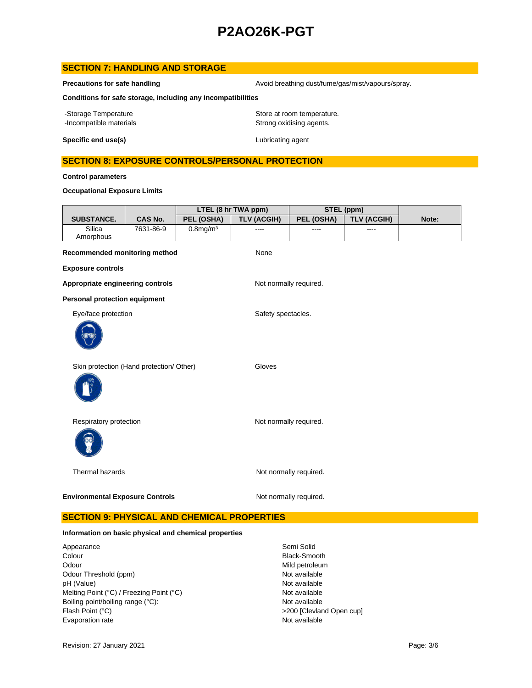# **SECTION 7: HANDLING AND STORAGE**

**Precautions for safe handling Avoid breathing dust/fume/gas/mist/vapours/spray.** Avoid breathing dust/fume/gas/mist/vapours/spray.

**Conditions for safe storage, including any incompatibilities**

-Storage Temperature **Storage Temperature** Store at room temperature. -Incompatible materials **Strong oxidising agents**.

**Specific end use(s)** Lubricating agent

# **SECTION 8: EXPOSURE CONTROLS/PERSONAL PROTECTION**

**Control parameters**

### **Occupational Exposure Limits**

|                                          |                |                | LTEL (8 hr TWA ppm)    |                        | STEL (ppm)         |       |
|------------------------------------------|----------------|----------------|------------------------|------------------------|--------------------|-------|
| <b>SUBSTANCE.</b>                        | <b>CAS No.</b> | PEL (OSHA)     | <b>TLV (ACGIH)</b>     | PEL (OSHA)             | <b>TLV (ACGIH)</b> | Note: |
| Silica<br>Amorphous                      | 7631-86-9      | $0.8$ mg/m $3$ | ----                   | ----                   | ----               |       |
| Recommended monitoring method            |                |                | None                   |                        |                    |       |
| <b>Exposure controls</b>                 |                |                |                        |                        |                    |       |
| Appropriate engineering controls         |                |                | Not normally required. |                        |                    |       |
| <b>Personal protection equipment</b>     |                |                |                        |                        |                    |       |
| Eye/face protection                      |                |                | Safety spectacles.     |                        |                    |       |
|                                          |                |                |                        |                        |                    |       |
| Skin protection (Hand protection/ Other) |                |                | Gloves                 |                        |                    |       |
|                                          |                |                |                        |                        |                    |       |
| Respiratory protection                   |                |                |                        | Not normally required. |                    |       |
|                                          |                |                |                        |                        |                    |       |
| <b>Thermal hazards</b>                   |                |                |                        | Not normally required. |                    |       |
| <b>Environmental Exposure Controls</b>   |                |                |                        | Not normally required. |                    |       |

# **SECTION 9: PHYSICAL AND CHEMICAL PROPERTIES**

#### **Information on basic physical and chemical properties**

Appearance Semi Solid Colour **Black-Smooth** Odour Mild petroleum<br>
Odour Threshold (ppm) example and the second of the Mot available<br>
Odour Threshold (ppm) Odour Threshold (ppm) Not available<br>
DH (Value) Not available<br>
Not available pH (Value)<br>
Mot available<br>
Melting Point (°C) / Freezing Point (°C) <br>
Mot available Melting Point (°C) / Freezing Point (°C) Boiling point/boiling range (°C): Not available Flash Point (°C) <br>
>200 [Clevland Open cup] Evaporation rate **Not available**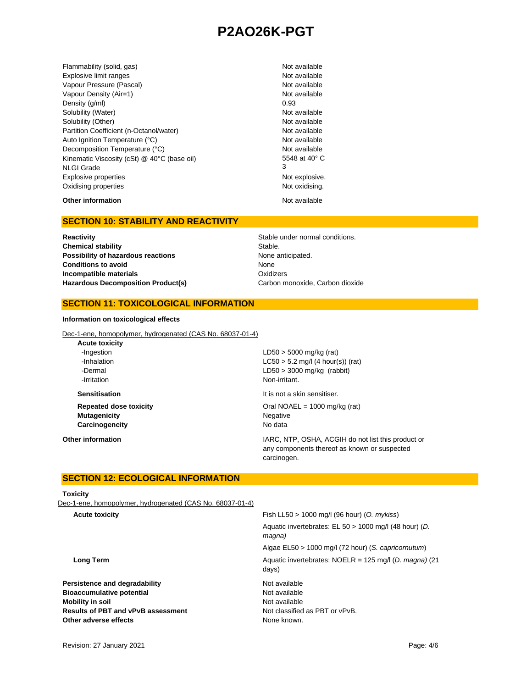Flammability (solid, gas) Not available Explosive limit ranges **Not available** Not available Vapour Pressure (Pascal) Not available Not available Vapour Density (Air=1) Not available Density  $(g/m)$  0.93 Solubility (Water) Not available Solubility (Other) Not available Partition Coefficient (n-Octanol/water) Not available Auto Ignition Temperature (°C) Not available Decomposition Temperature (°C) Not available Kinematic Viscosity (cSt) @ 40°C (base oil) NLGI Grade Explosive properties **Not explosive.** Not explosive. Oxidising properties Not oxidising.

5548 at 40° C 3

# **Other information** Not available

### **SECTION 10: STABILITY AND REACTIVITY**

**Reactivity Reactivity Reactivity Reactivity Stable under normal conditions. Chemical stability** Stable. **Possibility of hazardous reactions None anticipated. Conditions to avoid Incompatible materials** Hazardous Decomposition Product(s) Carbon monoxide, Carbon dioxide

None **Oxidizers** 

### **SECTION 11: TOXICOLOGICAL INFORMATION**

#### **Information on toxicological effects**

Dec-1-ene, homopolymer, hydrogenated (CAS No. 68037-01-4)

| $LD50 > 5000$ mg/kg (rat)                                                                                         |
|-------------------------------------------------------------------------------------------------------------------|
| $LC50 > 5.2$ mg/l (4 hour(s)) (rat)                                                                               |
| $LD50 > 3000$ mg/kg (rabbit)                                                                                      |
| Non-irritant.                                                                                                     |
| It is not a skin sensitiser.                                                                                      |
| Oral NOAEL = $1000 \text{ mg/kg}$ (rat)                                                                           |
| Negative                                                                                                          |
| No data                                                                                                           |
| IARC, NTP, OSHA, ACGIH do not list this product or<br>any components thereof as known or suspected<br>carcinogen. |
|                                                                                                                   |

# **SECTION 12: ECOLOGICAL INFORMATION**

#### **Toxicity**

Dec-1-ene, homopolymer, hydrogenated (CAS No. 68037-01-4)

| Fish LL50 $> 1000$ mg/l (96 hour) (O. mykiss)                     |
|-------------------------------------------------------------------|
| Aquatic invertebrates: EL 50 > 1000 mg/l (48 hour) (D.<br>magna)  |
| Algae EL50 > 1000 mg/l (72 hour) (S. capricornutum)               |
| Aquatic invertebrates: $NOELR = 125$ mg/l (D. magna) (21<br>days) |
| Not available                                                     |
| Not available                                                     |
| Not available                                                     |
| Not classified as PBT or vPvB.                                    |
| None known.                                                       |
|                                                                   |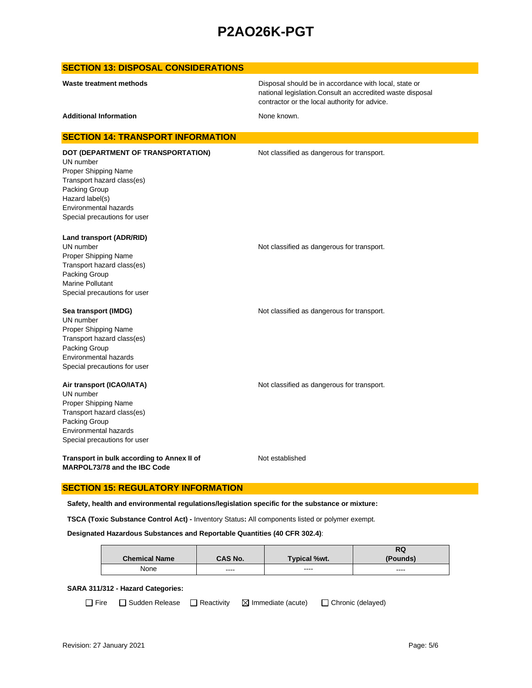### **SECTION 13: DISPOSAL CONSIDERATIONS**

Disposal should be in accordance with local, state or national legislation.Consult an accredited waste disposal contractor or the local authority for advice.

Additional Information **None known.** None known.

### **SECTION 14: TRANSPORT INFORMATION**

UN number Proper Shipping Name Transport hazard class(es) Packing Group Hazard label(s) Environmental hazards Special precautions for user

**DOT (DEPARTMENT OF TRANSPORTATION)** Not classified as dangerous for transport.

**Land transport (ADR/RID)**

UN number **Not classified as dangerous for transport.** Proper Shipping Name Transport hazard class(es) Packing Group Marine Pollutant Special precautions for user

#### **Sea transport (IMDG) Not classified as dangerous for transport.** Not classified as dangerous for transport.

UN number Proper Shipping Name Transport hazard class(es) Packing Group Environmental hazards Special precautions for user

#### **Air transport (ICAO/IATA)** Not classified as dangerous for transport.

UN number Proper Shipping Name Transport hazard class(es) Packing Group Environmental hazards Special precautions for user

**Transport in bulk according to Annex II of MARPOL73/78 and the IBC Code**

Not established

### **SECTION 15: REGULATORY INFORMATION**

**Safety, health and environmental regulations/legislation specific for the substance or mixture:**

**TSCA (Toxic Substance Control Act) -** Inventory Status**:** All components listed or polymer exempt.

#### **Designated Hazardous Substances and Reportable Quantities (40 CFR 302.4)**:

|                      |         |                     | RQ       |
|----------------------|---------|---------------------|----------|
| <b>Chemical Name</b> | CAS No. | <b>Typical %wt.</b> | (Pounds) |
| None                 | ----    | ----                | $\cdots$ |

#### **SARA 311/312 - Hazard Categories:**

 $\Box$  Fire  $\Box$  Sudden Release  $\Box$  Reactivity  $\Box$  Immediate (acute)  $\Box$  Chronic (delayed)